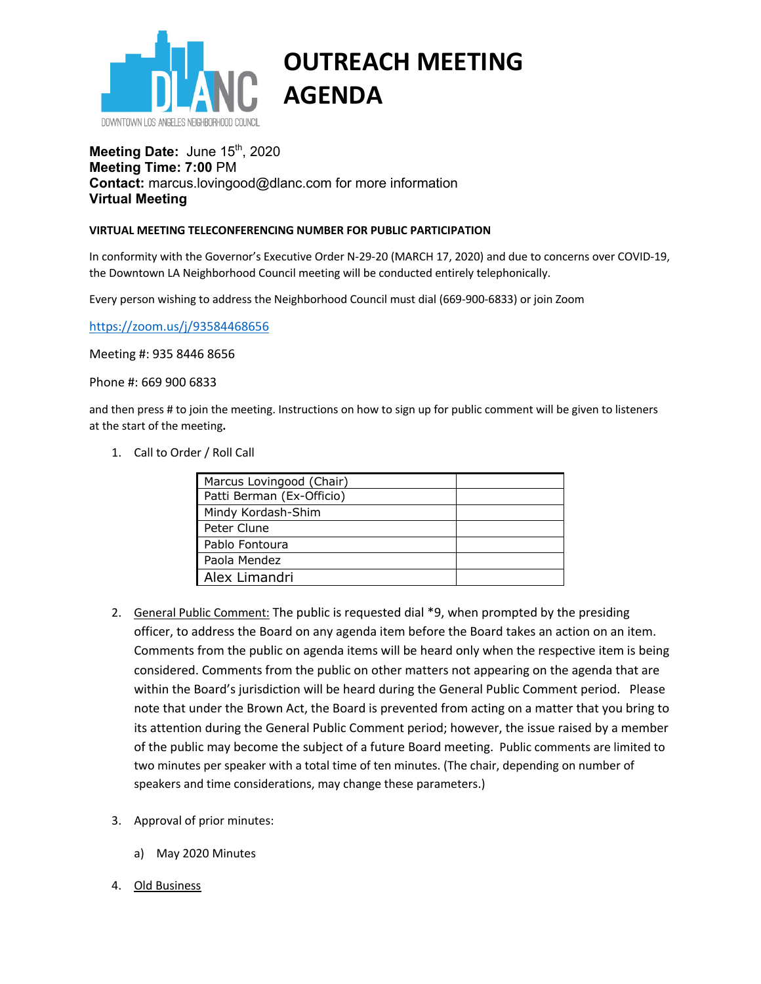

## **OUTREACH MEETING AGENDA**

## **Meeting Date: June 15th, 2020 Meeting Time: 7:00** PM **Contact:** marcus.lovingood@dlanc.com for more information **Virtual Meeting**

## **VIRTUAL MEETING TELECONFERENCING NUMBER FOR PUBLIC PARTICIPATION**

In conformity with the Governor's Executive Order N-29-20 (MARCH 17, 2020) and due to concerns over COVID-19, the Downtown LA Neighborhood Council meeting will be conducted entirely telephonically.

Every person wishing to address the Neighborhood Council must dial (669-900-6833) or join Zoom

https://zoom.us/j/93584468656

Meeting #: 935 8446 8656

Phone #: 669 900 6833

and then press # to join the meeting. Instructions on how to sign up for public comment will be given to listeners at the start of the meeting**.** 

1. Call to Order / Roll Call

| Marcus Lovingood (Chair)  |  |
|---------------------------|--|
| Patti Berman (Ex-Officio) |  |
| Mindy Kordash-Shim        |  |
| Peter Clune               |  |
| Pablo Fontoura            |  |
| Paola Mendez              |  |
| Alex Limandri             |  |

- 2. General Public Comment: The public is requested dial \*9, when prompted by the presiding officer, to address the Board on any agenda item before the Board takes an action on an item. Comments from the public on agenda items will be heard only when the respective item is being considered. Comments from the public on other matters not appearing on the agenda that are within the Board's jurisdiction will be heard during the General Public Comment period. Please note that under the Brown Act, the Board is prevented from acting on a matter that you bring to its attention during the General Public Comment period; however, the issue raised by a member of the public may become the subject of a future Board meeting. Public comments are limited to two minutes per speaker with a total time of ten minutes. (The chair, depending on number of speakers and time considerations, may change these parameters.)
- 3. Approval of prior minutes:
	- a) May 2020 Minutes
- 4. Old Business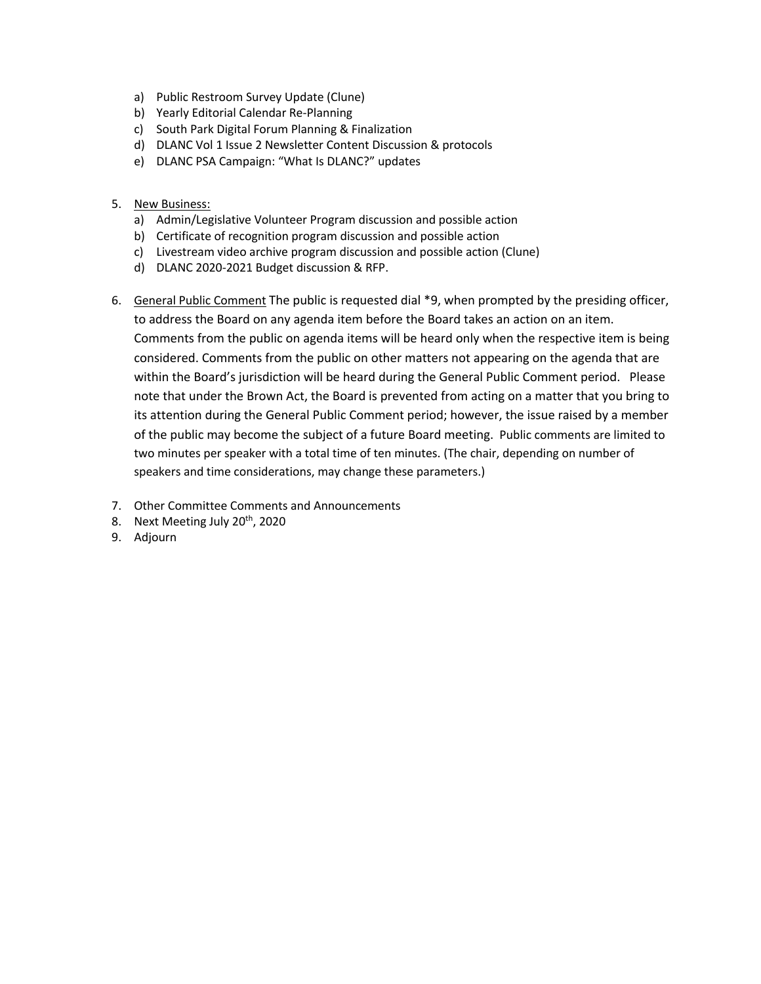- a) Public Restroom Survey Update (Clune)
- b) Yearly Editorial Calendar Re-Planning
- c) South Park Digital Forum Planning & Finalization
- d) DLANC Vol 1 Issue 2 Newsletter Content Discussion & protocols
- e) DLANC PSA Campaign: "What Is DLANC?" updates
- 5. New Business:
	- a) Admin/Legislative Volunteer Program discussion and possible action
	- b) Certificate of recognition program discussion and possible action
	- c) Livestream video archive program discussion and possible action (Clune)
	- d) DLANC 2020-2021 Budget discussion & RFP.
- 6. General Public Comment The public is requested dial \*9, when prompted by the presiding officer, to address the Board on any agenda item before the Board takes an action on an item. Comments from the public on agenda items will be heard only when the respective item is being considered. Comments from the public on other matters not appearing on the agenda that are within the Board's jurisdiction will be heard during the General Public Comment period. Please note that under the Brown Act, the Board is prevented from acting on a matter that you bring to its attention during the General Public Comment period; however, the issue raised by a member of the public may become the subject of a future Board meeting. Public comments are limited to two minutes per speaker with a total time of ten minutes. (The chair, depending on number of speakers and time considerations, may change these parameters.)
- 7. Other Committee Comments and Announcements
- 8. Next Meeting July 20<sup>th</sup>, 2020
- 9. Adjourn